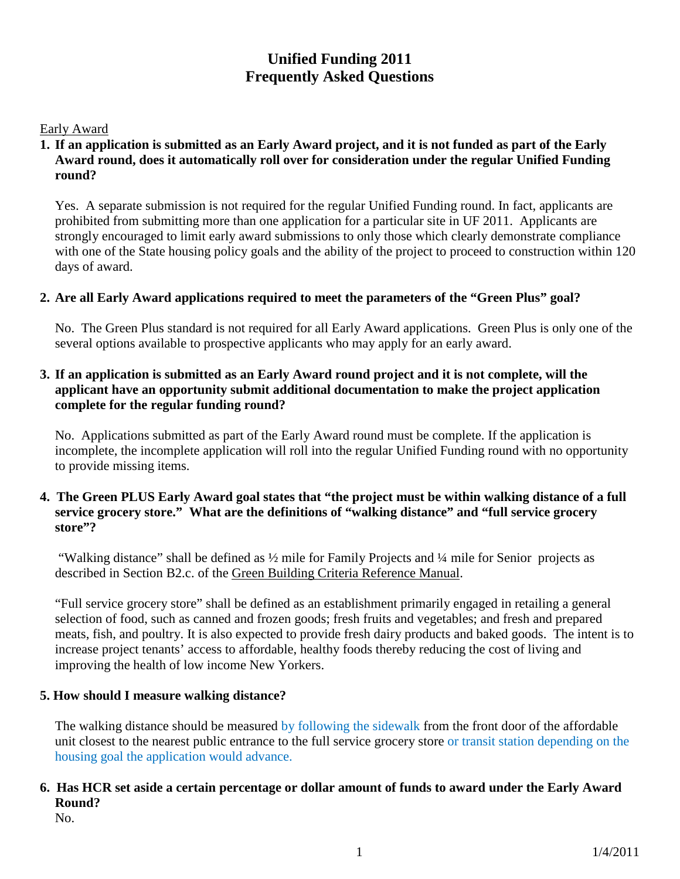# **Unified Funding 2011 Frequently Asked Questions**

#### Early Award

#### **1. If an application is submitted as an Early Award project, and it is not funded as part of the Early Award round, does it automatically roll over for consideration under the regular Unified Funding round?**

Yes. A separate submission is not required for the regular Unified Funding round. In fact, applicants are prohibited from submitting more than one application for a particular site in UF 2011. Applicants are strongly encouraged to limit early award submissions to only those which clearly demonstrate compliance with one of the State housing policy goals and the ability of the project to proceed to construction within 120 days of award.

#### **2. Are all Early Award applications required to meet the parameters of the "Green Plus" goal?**

No. The Green Plus standard is not required for all Early Award applications. Green Plus is only one of the several options available to prospective applicants who may apply for an early award.

#### **3. If an application is submitted as an Early Award round project and it is not complete, will the applicant have an opportunity submit additional documentation to make the project application complete for the regular funding round?**

No. Applications submitted as part of the Early Award round must be complete. If the application is incomplete, the incomplete application will roll into the regular Unified Funding round with no opportunity to provide missing items.

#### **4. The Green PLUS Early Award goal states that "the project must be within walking distance of a full service grocery store." What are the definitions of "walking distance" and "full service grocery store"?**

"Walking distance" shall be defined as ½ mile for Family Projects and ¼ mile for Senior projects as described in Section B2.c. of the Green Building Criteria Reference Manual.

"Full service grocery store" shall be defined as an establishment primarily engaged in retailing a general selection of food, such as canned and frozen goods; fresh fruits and vegetables; and fresh and prepared meats, fish, and poultry. It is also expected to provide fresh dairy products and baked goods. The intent is to increase project tenants' access to affordable, healthy foods thereby reducing the cost of living and improving the health of low income New Yorkers.

#### **5. How should I measure walking distance?**

The walking distance should be measured by following the sidewalk from the front door of the affordable unit closest to the nearest public entrance to the full service grocery store or transit station depending on the housing goal the application would advance.

# **6. Has HCR set aside a certain percentage or dollar amount of funds to award under the Early Award Round?**

No.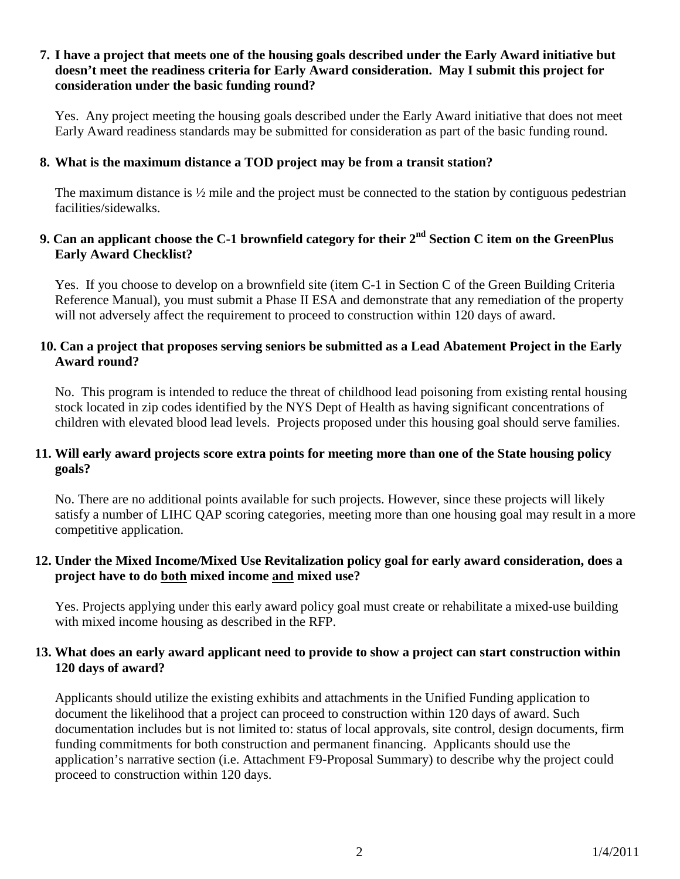#### **7. I have a project that meets one of the housing goals described under the Early Award initiative but doesn't meet the readiness criteria for Early Award consideration. May I submit this project for consideration under the basic funding round?**

Yes. Any project meeting the housing goals described under the Early Award initiative that does not meet Early Award readiness standards may be submitted for consideration as part of the basic funding round.

# **8. What is the maximum distance a TOD project may be from a transit station?**

The maximum distance is  $\frac{1}{2}$  mile and the project must be connected to the station by contiguous pedestrian facilities/sidewalks.

# **9. Can an applicant choose the C-1 brownfield category for their 2nd Section C item on the GreenPlus Early Award Checklist?**

Yes. If you choose to develop on a brownfield site (item C-1 in Section C of the Green Building Criteria Reference Manual), you must submit a Phase II ESA and demonstrate that any remediation of the property will not adversely affect the requirement to proceed to construction within 120 days of award.

# **10. Can a project that proposes serving seniors be submitted as a Lead Abatement Project in the Early Award round?**

No. This program is intended to reduce the threat of childhood lead poisoning from existing rental housing stock located in zip codes identified by the NYS Dept of Health as having significant concentrations of children with elevated blood lead levels. Projects proposed under this housing goal should serve families.

#### **11. Will early award projects score extra points for meeting more than one of the State housing policy goals?**

No. There are no additional points available for such projects. However, since these projects will likely satisfy a number of LIHC QAP scoring categories, meeting more than one housing goal may result in a more competitive application.

#### **12. Under the Mixed Income/Mixed Use Revitalization policy goal for early award consideration, does a project have to do both mixed income and mixed use?**

Yes. Projects applying under this early award policy goal must create or rehabilitate a mixed-use building with mixed income housing as described in the RFP.

# **13. What does an early award applicant need to provide to show a project can start construction within 120 days of award?**

Applicants should utilize the existing exhibits and attachments in the Unified Funding application to document the likelihood that a project can proceed to construction within 120 days of award. Such documentation includes but is not limited to: status of local approvals, site control, design documents, firm funding commitments for both construction and permanent financing. Applicants should use the application's narrative section (i.e. Attachment F9-Proposal Summary) to describe why the project could proceed to construction within 120 days.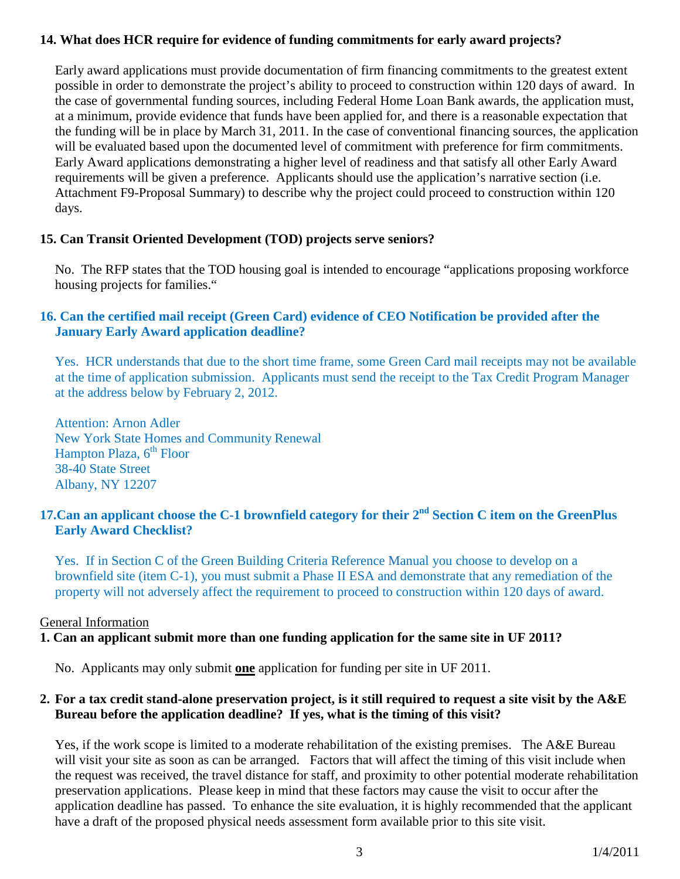#### **14. What does HCR require for evidence of funding commitments for early award projects?**

Early award applications must provide documentation of firm financing commitments to the greatest extent possible in order to demonstrate the project's ability to proceed to construction within 120 days of award. In the case of governmental funding sources, including Federal Home Loan Bank awards, the application must, at a minimum, provide evidence that funds have been applied for, and there is a reasonable expectation that the funding will be in place by March 31, 2011. In the case of conventional financing sources, the application will be evaluated based upon the documented level of commitment with preference for firm commitments. Early Award applications demonstrating a higher level of readiness and that satisfy all other Early Award requirements will be given a preference. Applicants should use the application's narrative section (i.e. Attachment F9-Proposal Summary) to describe why the project could proceed to construction within 120 days.

#### **15. Can Transit Oriented Development (TOD) projects serve seniors?**

No. The RFP states that the TOD housing goal is intended to encourage "applications proposing workforce housing projects for families."

# **16. Can the certified mail receipt (Green Card) evidence of CEO Notification be provided after the January Early Award application deadline?**

Yes. HCR understands that due to the short time frame, some Green Card mail receipts may not be available at the time of application submission. Applicants must send the receipt to the Tax Credit Program Manager at the address below by February 2, 2012.

Attention: Arnon Adler New York State Homes and Community Renewal Hampton Plaza,  $6<sup>th</sup>$  Floor 38-40 State Street Albany, NY 12207

# **17.Can an applicant choose the C-1 brownfield category for their 2nd Section C item on the GreenPlus Early Award Checklist?**

Yes. If in Section C of the Green Building Criteria Reference Manual you choose to develop on a brownfield site (item C-1), you must submit a Phase II ESA and demonstrate that any remediation of the property will not adversely affect the requirement to proceed to construction within 120 days of award.

#### General Information

#### **1. Can an applicant submit more than one funding application for the same site in UF 2011?**

No. Applicants may only submit **one** application for funding per site in UF 2011.

#### **2. For a tax credit stand-alone preservation project, is it still required to request a site visit by the A&E Bureau before the application deadline? If yes, what is the timing of this visit?**

Yes, if the work scope is limited to a moderate rehabilitation of the existing premises. The A&E Bureau will visit your site as soon as can be arranged. Factors that will affect the timing of this visit include when the request was received, the travel distance for staff, and proximity to other potential moderate rehabilitation preservation applications. Please keep in mind that these factors may cause the visit to occur after the application deadline has passed. To enhance the site evaluation, it is highly recommended that the applicant have a draft of the proposed physical needs assessment form available prior to this site visit.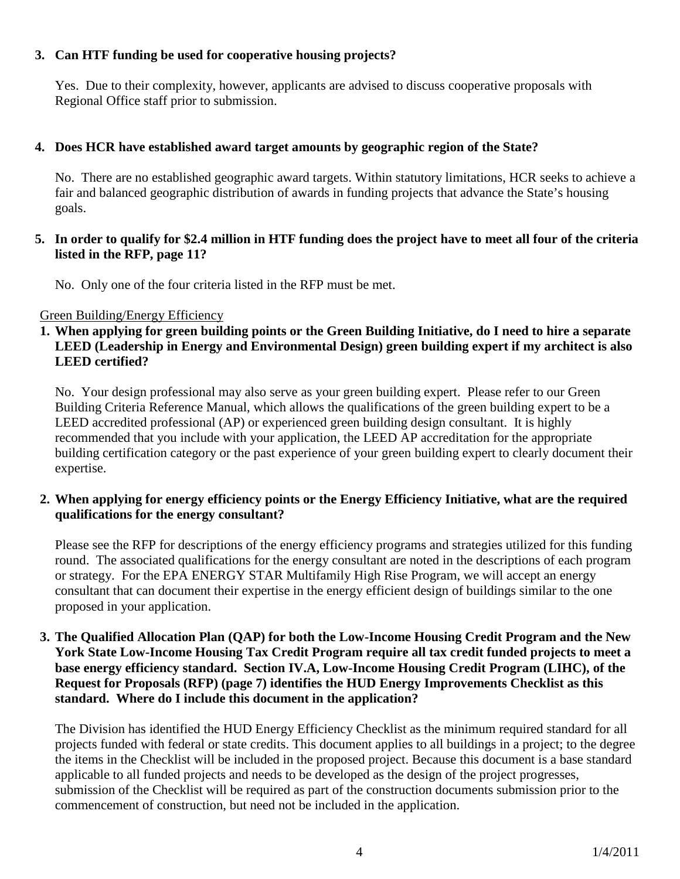# **3. Can HTF funding be used for cooperative housing projects?**

Yes. Due to their complexity, however, applicants are advised to discuss cooperative proposals with Regional Office staff prior to submission.

# **4. Does HCR have established award target amounts by geographic region of the State?**

No. There are no established geographic award targets. Within statutory limitations, HCR seeks to achieve a fair and balanced geographic distribution of awards in funding projects that advance the State's housing goals.

#### **5. In order to qualify for \$2.4 million in HTF funding does the project have to meet all four of the criteria listed in the RFP, page 11?**

No. Only one of the four criteria listed in the RFP must be met.

#### Green Building/Energy Efficiency

#### **1. When applying for green building points or the Green Building Initiative, do I need to hire a separate LEED (Leadership in Energy and Environmental Design) green building expert if my architect is also LEED certified?**

No. Your design professional may also serve as your green building expert. Please refer to our Green Building Criteria Reference Manual, which allows the qualifications of the green building expert to be a LEED accredited professional (AP) or experienced green building design consultant. It is highly recommended that you include with your application, the LEED AP accreditation for the appropriate building certification category or the past experience of your green building expert to clearly document their expertise.

#### **2. When applying for energy efficiency points or the Energy Efficiency Initiative, what are the required qualifications for the energy consultant?**

Please see the RFP for descriptions of the energy efficiency programs and strategies utilized for this funding round. The associated qualifications for the energy consultant are noted in the descriptions of each program or strategy. For the EPA ENERGY STAR Multifamily High Rise Program, we will accept an energy consultant that can document their expertise in the energy efficient design of buildings similar to the one proposed in your application.

#### **3. The Qualified Allocation Plan (QAP) for both the Low-Income Housing Credit Program and the New York State Low-Income Housing Tax Credit Program require all tax credit funded projects to meet a base energy efficiency standard. Section IV.A, Low-Income Housing Credit Program (LIHC), of the Request for Proposals (RFP) (page 7) identifies the HUD Energy Improvements Checklist as this standard. Where do I include this document in the application?**

The Division has identified the HUD Energy Efficiency Checklist as the minimum required standard for all projects funded with federal or state credits. This document applies to all buildings in a project; to the degree the items in the Checklist will be included in the proposed project. Because this document is a base standard applicable to all funded projects and needs to be developed as the design of the project progresses, submission of the Checklist will be required as part of the construction documents submission prior to the commencement of construction, but need not be included in the application.